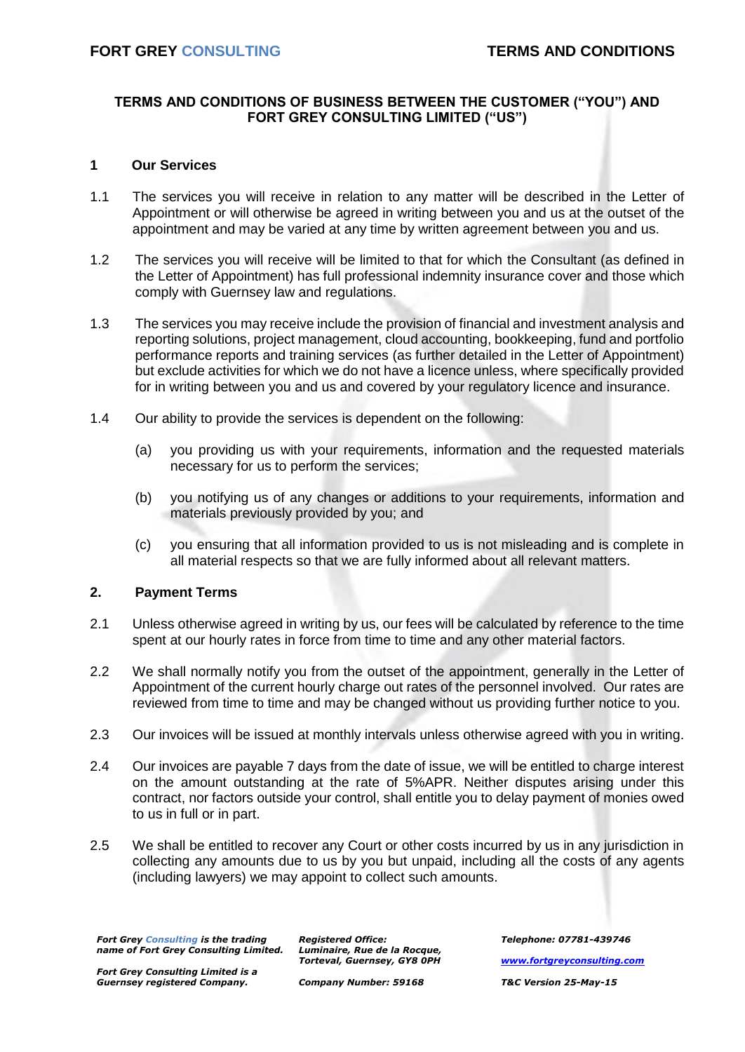# **TERMS AND CONDITIONS OF BUSINESS BETWEEN THE CUSTOMER ("YOU") AND FORT GREY CONSULTING LIMITED ("US")**

## **1 Our Services**

- 1.1 The services you will receive in relation to any matter will be described in the Letter of Appointment or will otherwise be agreed in writing between you and us at the outset of the appointment and may be varied at any time by written agreement between you and us.
- 1.2 The services you will receive will be limited to that for which the Consultant (as defined in the Letter of Appointment) has full professional indemnity insurance cover and those which comply with Guernsey law and regulations.
- 1.3 The services you may receive include the provision of financial and investment analysis and reporting solutions, project management, cloud accounting, bookkeeping, fund and portfolio performance reports and training services (as further detailed in the Letter of Appointment) but exclude activities for which we do not have a licence unless, where specifically provided for in writing between you and us and covered by your regulatory licence and insurance.
- 1.4 Our ability to provide the services is dependent on the following:
	- (a) you providing us with your requirements, information and the requested materials necessary for us to perform the services;
	- (b) you notifying us of any changes or additions to your requirements, information and materials previously provided by you; and
	- (c) you ensuring that all information provided to us is not misleading and is complete in all material respects so that we are fully informed about all relevant matters.

# **2. Payment Terms**

- 2.1 Unless otherwise agreed in writing by us, our fees will be calculated by reference to the time spent at our hourly rates in force from time to time and any other material factors.
- 2.2 We shall normally notify you from the outset of the appointment, generally in the Letter of Appointment of the current hourly charge out rates of the personnel involved. Our rates are reviewed from time to time and may be changed without us providing further notice to you.
- 2.3 Our invoices will be issued at monthly intervals unless otherwise agreed with you in writing.
- 2.4 Our invoices are payable 7 days from the date of issue, we will be entitled to charge interest on the amount outstanding at the rate of 5%APR. Neither disputes arising under this contract, nor factors outside your control, shall entitle you to delay payment of monies owed to us in full or in part.
- 2.5 We shall be entitled to recover any Court or other costs incurred by us in any jurisdiction in collecting any amounts due to us by you but unpaid, including all the costs of any agents (including lawyers) we may appoint to collect such amounts.

*Fort Grey Consulting is the trading name of Fort Grey Consulting Limited.* *Registered Office: Luminaire, Rue de la Rocque, Torteval, Guernsey, GY8 0PH*

*Fort Grey Consulting Limited is a Guernsey registered Company.*

*Company Number: 59168*

*Telephone: 07781-439746 [www.fortgreyconsulting.com](http://www.fortgreyconsulting.com/) T&C Version 25-May-15*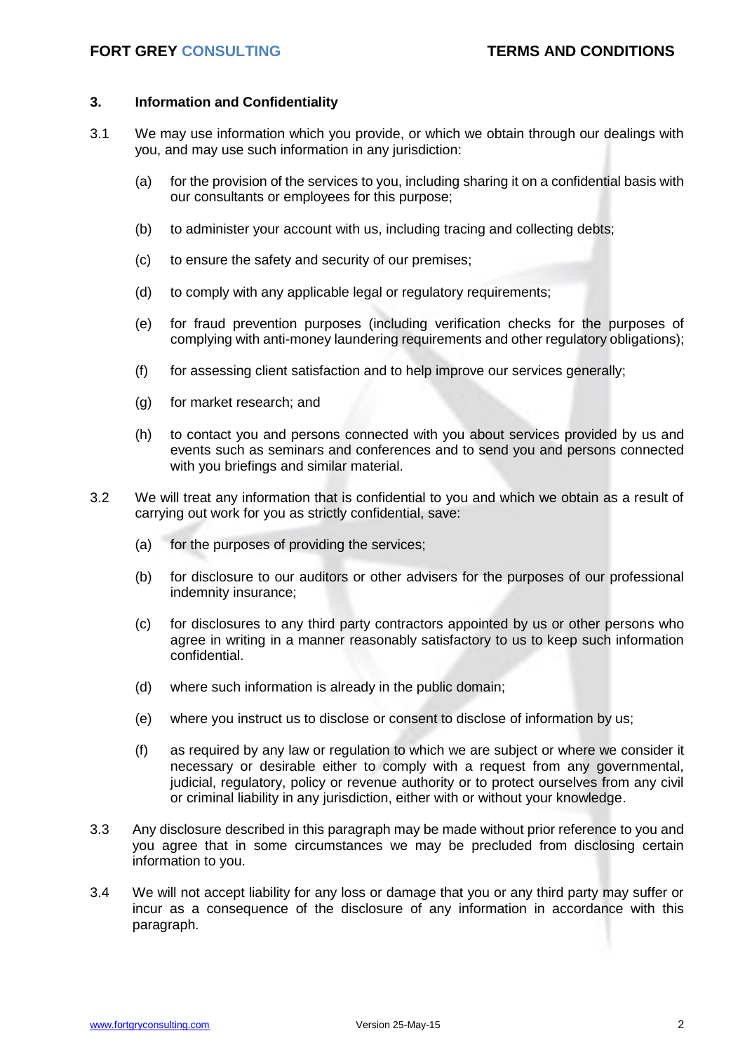## **3. Information and Confidentiality**

- 3.1 We may use information which you provide, or which we obtain through our dealings with you, and may use such information in any jurisdiction:
	- (a) for the provision of the services to you, including sharing it on a confidential basis with our consultants or employees for this purpose;
	- (b) to administer your account with us, including tracing and collecting debts;
	- (c) to ensure the safety and security of our premises;
	- (d) to comply with any applicable legal or regulatory requirements;
	- (e) for fraud prevention purposes (including verification checks for the purposes of complying with anti-money laundering requirements and other regulatory obligations);
	- (f) for assessing client satisfaction and to help improve our services generally;
	- (g) for market research; and
	- (h) to contact you and persons connected with you about services provided by us and events such as seminars and conferences and to send you and persons connected with you briefings and similar material.
- 3.2 We will treat any information that is confidential to you and which we obtain as a result of carrying out work for you as strictly confidential, save:
	- (a) for the purposes of providing the services;
	- (b) for disclosure to our auditors or other advisers for the purposes of our professional indemnity insurance;
	- (c) for disclosures to any third party contractors appointed by us or other persons who agree in writing in a manner reasonably satisfactory to us to keep such information confidential.
	- (d) where such information is already in the public domain;
	- (e) where you instruct us to disclose or consent to disclose of information by us;
	- (f) as required by any law or regulation to which we are subject or where we consider it necessary or desirable either to comply with a request from any governmental, judicial, regulatory, policy or revenue authority or to protect ourselves from any civil or criminal liability in any jurisdiction, either with or without your knowledge.
- 3.3 Any disclosure described in this paragraph may be made without prior reference to you and you agree that in some circumstances we may be precluded from disclosing certain information to you.
- 3.4 We will not accept liability for any loss or damage that you or any third party may suffer or incur as a consequence of the disclosure of any information in accordance with this paragraph.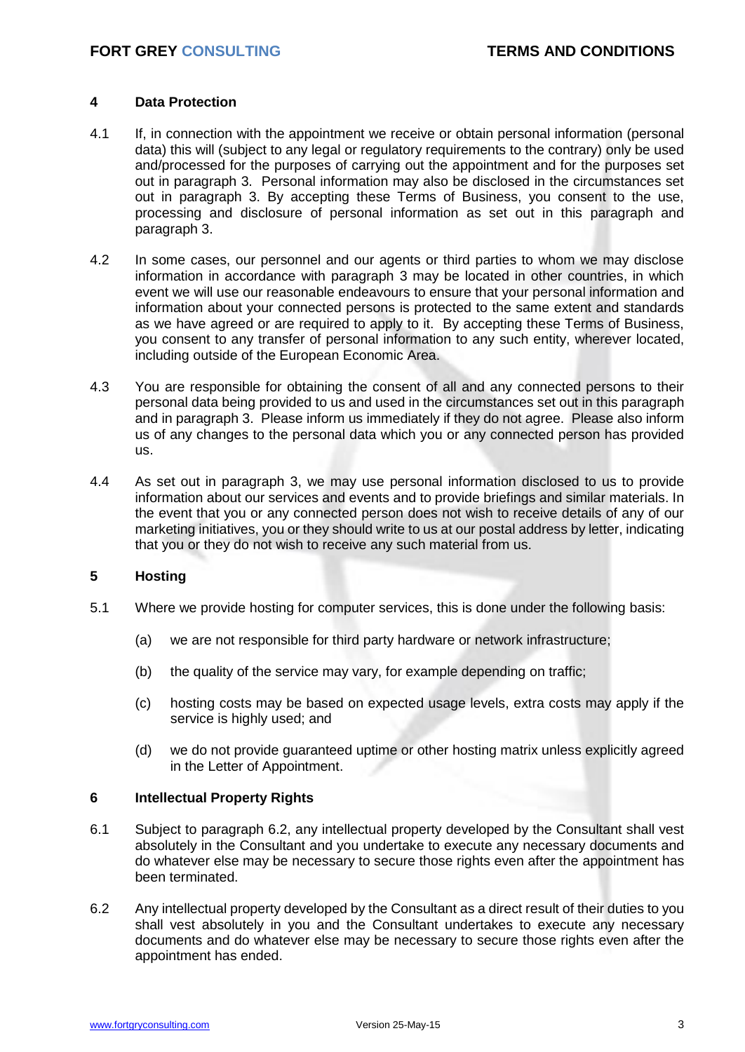## **4 Data Protection**

- 4.1 If, in connection with the appointment we receive or obtain personal information (personal data) this will (subject to any legal or regulatory requirements to the contrary) only be used and/processed for the purposes of carrying out the appointment and for the purposes set out in paragraph 3. Personal information may also be disclosed in the circumstances set out in paragraph 3. By accepting these Terms of Business, you consent to the use, processing and disclosure of personal information as set out in this paragraph and paragraph 3.
- 4.2 In some cases, our personnel and our agents or third parties to whom we may disclose information in accordance with paragraph 3 may be located in other countries, in which event we will use our reasonable endeavours to ensure that your personal information and information about your connected persons is protected to the same extent and standards as we have agreed or are required to apply to it. By accepting these Terms of Business, you consent to any transfer of personal information to any such entity, wherever located, including outside of the European Economic Area.
- 4.3 You are responsible for obtaining the consent of all and any connected persons to their personal data being provided to us and used in the circumstances set out in this paragraph and in paragraph 3. Please inform us immediately if they do not agree. Please also inform us of any changes to the personal data which you or any connected person has provided us.
- 4.4 As set out in paragraph 3, we may use personal information disclosed to us to provide information about our services and events and to provide briefings and similar materials. In the event that you or any connected person does not wish to receive details of any of our marketing initiatives, you or they should write to us at our postal address by letter, indicating that you or they do not wish to receive any such material from us.

# **5 Hosting**

- 5.1 Where we provide hosting for computer services, this is done under the following basis:
	- (a) we are not responsible for third party hardware or network infrastructure;
	- (b) the quality of the service may vary, for example depending on traffic;
	- (c) hosting costs may be based on expected usage levels, extra costs may apply if the service is highly used; and
	- (d) we do not provide guaranteed uptime or other hosting matrix unless explicitly agreed in the Letter of Appointment.

### **6 Intellectual Property Rights**

- 6.1 Subject to paragraph 6.2, any intellectual property developed by the Consultant shall vest absolutely in the Consultant and you undertake to execute any necessary documents and do whatever else may be necessary to secure those rights even after the appointment has been terminated.
- 6.2 Any intellectual property developed by the Consultant as a direct result of their duties to you shall vest absolutely in you and the Consultant undertakes to execute any necessary documents and do whatever else may be necessary to secure those rights even after the appointment has ended.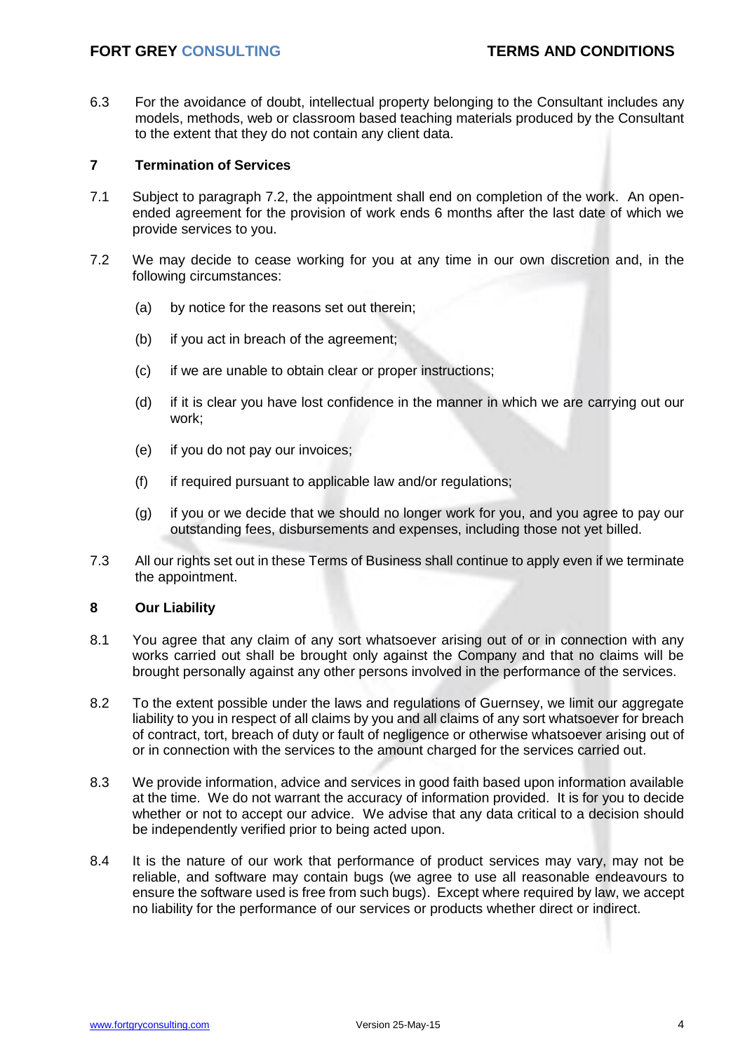6.3 For the avoidance of doubt, intellectual property belonging to the Consultant includes any models, methods, web or classroom based teaching materials produced by the Consultant to the extent that they do not contain any client data.

# **7 Termination of Services**

- 7.1 Subject to paragraph 7.2, the appointment shall end on completion of the work. An openended agreement for the provision of work ends 6 months after the last date of which we provide services to you.
- 7.2 We may decide to cease working for you at any time in our own discretion and, in the following circumstances:
	- (a) by notice for the reasons set out therein;
	- (b) if you act in breach of the agreement;
	- (c) if we are unable to obtain clear or proper instructions;
	- (d) if it is clear you have lost confidence in the manner in which we are carrying out our work;
	- (e) if you do not pay our invoices;
	- (f) if required pursuant to applicable law and/or regulations;
	- (g) if you or we decide that we should no longer work for you, and you agree to pay our outstanding fees, disbursements and expenses, including those not yet billed.
- 7.3 All our rights set out in these Terms of Business shall continue to apply even if we terminate the appointment.

### **8 Our Liability**

- 8.1 You agree that any claim of any sort whatsoever arising out of or in connection with any works carried out shall be brought only against the Company and that no claims will be brought personally against any other persons involved in the performance of the services.
- 8.2 To the extent possible under the laws and regulations of Guernsey, we limit our aggregate liability to you in respect of all claims by you and all claims of any sort whatsoever for breach of contract, tort, breach of duty or fault of negligence or otherwise whatsoever arising out of or in connection with the services to the amount charged for the services carried out.
- 8.3 We provide information, advice and services in good faith based upon information available at the time. We do not warrant the accuracy of information provided. It is for you to decide whether or not to accept our advice. We advise that any data critical to a decision should be independently verified prior to being acted upon.
- 8.4 It is the nature of our work that performance of product services may vary, may not be reliable, and software may contain bugs (we agree to use all reasonable endeavours to ensure the software used is free from such bugs). Except where required by law, we accept no liability for the performance of our services or products whether direct or indirect.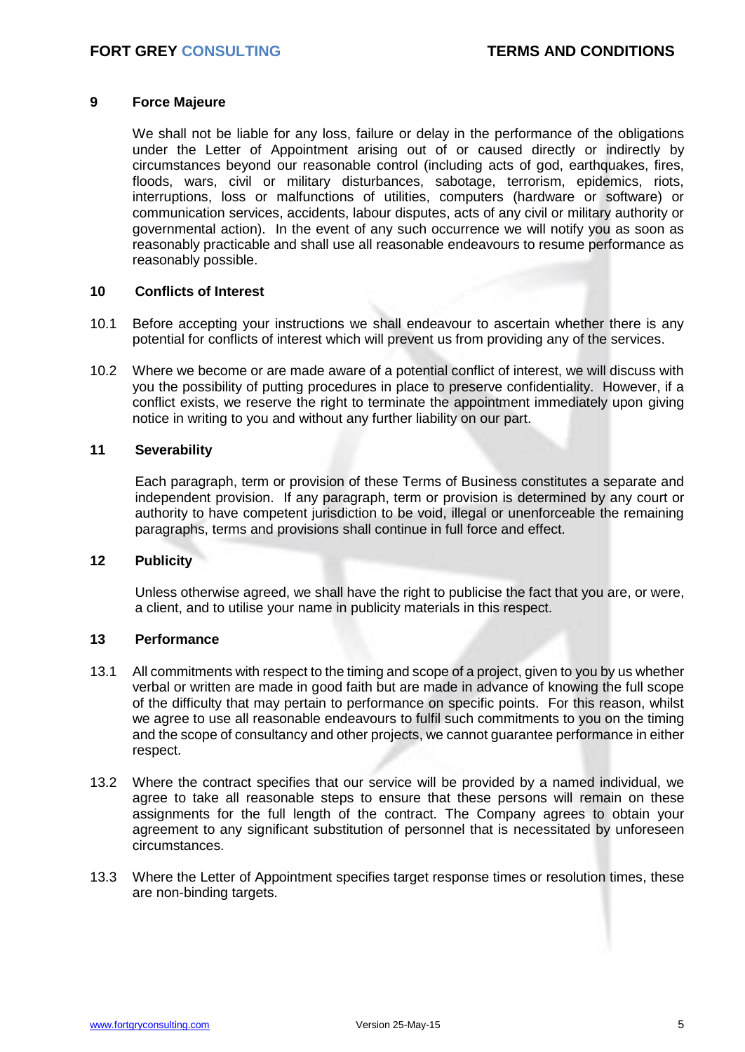## **9 Force Majeure**

We shall not be liable for any loss, failure or delay in the performance of the obligations under the Letter of Appointment arising out of or caused directly or indirectly by circumstances beyond our reasonable control (including acts of god, earthquakes, fires, floods, wars, civil or military disturbances, sabotage, terrorism, epidemics, riots, interruptions, loss or malfunctions of utilities, computers (hardware or software) or communication services, accidents, labour disputes, acts of any civil or military authority or governmental action). In the event of any such occurrence we will notify you as soon as reasonably practicable and shall use all reasonable endeavours to resume performance as reasonably possible.

### **10 Conflicts of Interest**

- 10.1 Before accepting your instructions we shall endeavour to ascertain whether there is any potential for conflicts of interest which will prevent us from providing any of the services.
- 10.2 Where we become or are made aware of a potential conflict of interest, we will discuss with you the possibility of putting procedures in place to preserve confidentiality. However, if a conflict exists, we reserve the right to terminate the appointment immediately upon giving notice in writing to you and without any further liability on our part.

### **11 Severability**

Each paragraph, term or provision of these Terms of Business constitutes a separate and independent provision. If any paragraph, term or provision is determined by any court or authority to have competent jurisdiction to be void, illegal or unenforceable the remaining paragraphs, terms and provisions shall continue in full force and effect.

### **12 Publicity**

Unless otherwise agreed, we shall have the right to publicise the fact that you are, or were, a client, and to utilise your name in publicity materials in this respect.

# **13 Performance**

- 13.1 All commitments with respect to the timing and scope of a project, given to you by us whether verbal or written are made in good faith but are made in advance of knowing the full scope of the difficulty that may pertain to performance on specific points. For this reason, whilst we agree to use all reasonable endeavours to fulfil such commitments to you on the timing and the scope of consultancy and other projects, we cannot guarantee performance in either respect.
- 13.2 Where the contract specifies that our service will be provided by a named individual, we agree to take all reasonable steps to ensure that these persons will remain on these assignments for the full length of the contract. The Company agrees to obtain your agreement to any significant substitution of personnel that is necessitated by unforeseen circumstances.
- 13.3 Where the Letter of Appointment specifies target response times or resolution times, these are non-binding targets.